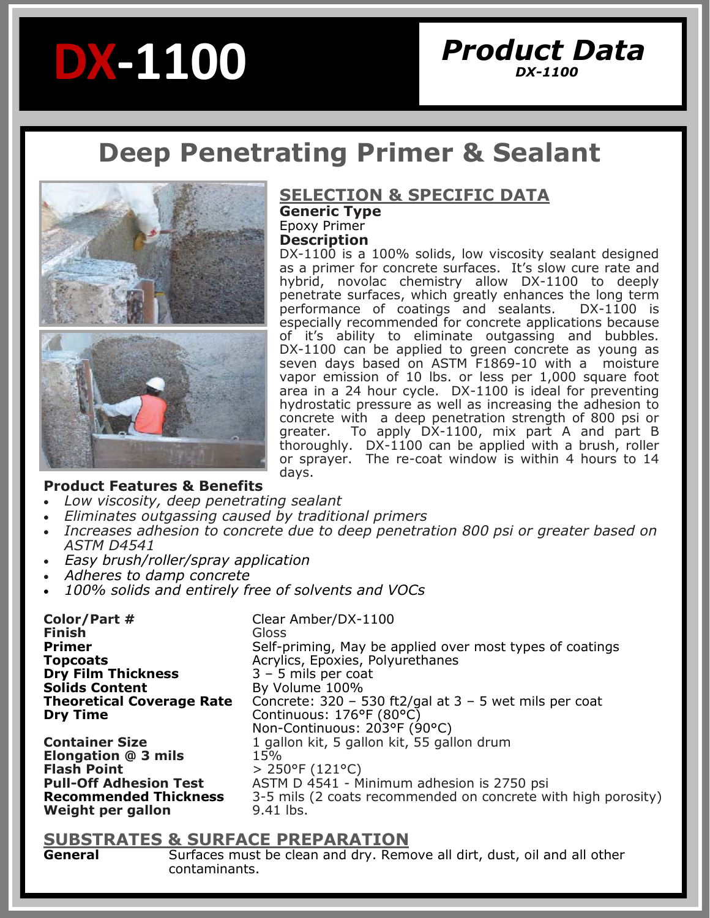# **DX-1100**

# *Product Data DX-1100*

# **Deep Penetrating Primer & Sealant**



# **SELECTION & SPECIFIC DATA**

**Generic Type**  Epoxy Primer

**Description**

DX-1100 is a 100% solids, low viscosity sealant designed as a primer for concrete surfaces. It's slow cure rate and hybrid, novolac chemistry allow DX-1100 to deeply penetrate surfaces, which greatly enhances the long term performance of coatings and sealants. DX-1100 is especially recommended for concrete applications because of it's ability to eliminate outgassing and bubbles. DX-1100 can be applied to green concrete as young as seven days based on ASTM F1869-10 with a moisture vapor emission of 10 lbs. or less per 1,000 square foot area in a 24 hour cycle. DX-1100 is ideal for preventing hydrostatic pressure as well as increasing the adhesion to concrete with a deep penetration strength of 800 psi or greater. To apply DX-1100, mix part A and part B thoroughly. DX-1100 can be applied with a brush, roller or sprayer. The re-coat window is within 4 hours to 14 days.

#### **Product Features & Benefits**

- *Low viscosity, deep penetrating sealant*
- *Eliminates outgassing caused by traditional primers*
- *Increases adhesion to concrete due to deep penetration 800 psi or greater based on ASTM D4541*
- *Easy brush/roller/spray application*
- *Adheres to damp concrete*
- *100% solids and entirely free of solvents and VOCs*

**Color/Part #** Clear Amber/DX-1100 **Finish** Gloss Self-priming, May be applied over most types of coatings **Topcoats Acrylics, Epoxies, Polyurethanes Dry Film Thickness** 3 – 5 mils per coat<br> **Solids Content** By Volume 100% By Volume 100% **Theoretical Coverage Rate** Concrete: 320 – 530 ft2/gal at 3 – 5 wet mils per coat **Dry Time Continuous: 176°F (80°C)** Non-Continuous: 203°F (90°C) **Container Size 1** gallon kit, 5 gallon kit, 55 gallon drum **Elongation @ 3 mils** 15% **Flash Point**  $\rightarrow$  250°F (121°C)<br>**Pull-Off Adhesion Test** ASTM D 4541 - M **Pull-Off Adhesion Test** ASTM D 4541 - Minimum adhesion is 2750 psi **Recommended Thickness** 3-5 mils (2 coats recommended on concrete with high porosity) **Weight per gallon** 9.41 lbs.

# **SUBSTRATES & SURFACE PREPARATION**

Surfaces must be clean and dry. Remove all dirt, dust, oil and all other contaminants.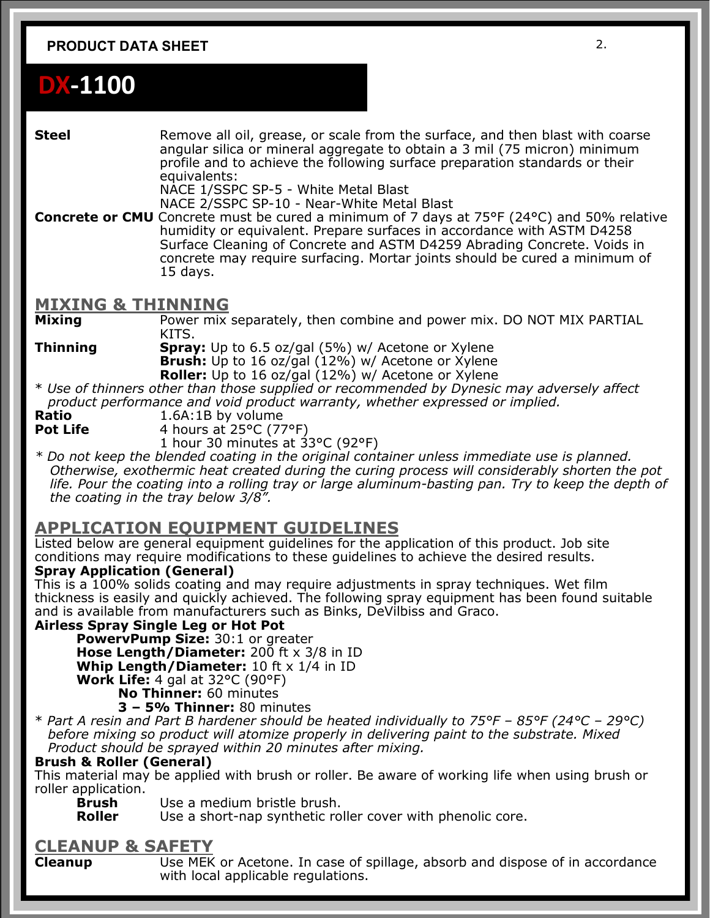#### **PRODUCT DATA SHEET** 2.

# **DX-1100**

**Steel** Remove all oil, grease, or scale from the surface, and then blast with coarse angular silica or mineral aggregate to obtain a 3 mil (75 micron) minimum profile and to achieve the following surface preparation standards or their equivalents:

NACE 1/SSPC SP-5 - White Metal Blast

NACE 2/SSPC SP-10 - Near-White Metal Blast

**Concrete or CMU** Concrete must be cured a minimum of 7 days at 75°F (24°C) and 50% relative humidity or equivalent. Prepare surfaces in accordance with ASTM D4258 Surface Cleaning of Concrete and ASTM D4259 Abrading Concrete. Voids in concrete may require surfacing. Mortar joints should be cured a minimum of 15 days.

#### **MIXING & THINNING**

**Mixing** Power mix separately, then combine and power mix. DO NOT MIX PARTIAL KITS.

**Thinning <b>Spray:** Up to 6.5 oz/gal (5%) w/ Acetone or Xylene **Brush:** Up to 16 oz/gal (12%) w/ Acetone or Xylene

**Roller:** Up to 16 oz/gal (12%) w/ Acetone or Xylene \* *Use of thinners other than those supplied or recommended by Dynesic may adversely affect* 

 *product performance and void product warranty, whether expressed or implied.* 

**Ratio** 1.6A:1B by volume<br>**Pot Life** 4 hours at 25°C (77 **Pot Life** 4 hours at 25°C (77°F)

1 hour 30 minutes at 33°C (92°F)

*\* Do not keep the blended coating in the original container unless immediate use is planned. Otherwise, exothermic heat created during the curing process will considerably shorten the pot life. Pour the coating into a rolling tray or large aluminum-basting pan. Try to keep the depth of the coating in the tray below 3/8".* 

## **APPLICATION EQUIPMENT GUIDELINES**

Listed below are general equipment guidelines for the application of this product. Job site conditions may require modifications to these guidelines to achieve the desired results.

#### **Spray Application (General)**

This is a 100% solids coating and may require adjustments in spray techniques. Wet film thickness is easily and quickly achieved. The following spray equipment has been found suitable and is available from manufacturers such as Binks, DeVilbiss and Graco.

#### **Airless Spray Single Leg or Hot Pot**

**PowervPump Size:** 30:1 or greater **Hose Length/Diameter:** 200 ft x 3/8 in ID **Whip Length/Diameter:** 10 ft x 1/4 in ID **Work Life:** 4 gal at 32°C (90°F) **No Thinner:** 60 minutes

**3 – 5% Thinner:** 80 minutes

\* *Part A resin and Part B hardener should be heated individually to 75°F – 85°F (24°C – 29°C) before mixing so product will atomize properly in delivering paint to the substrate. Mixed Product should be sprayed within 20 minutes after mixing.* 

#### **Brush & Roller (General)**

This material may be applied with brush or roller. Be aware of working life when using brush or roller application.

**Brush** Use a medium bristle brush.<br>**Roller** Use a short-nap synthetic ro

Use a short-nap synthetic roller cover with phenolic core.

## **CLEANUP & SAFETY**

**Cleanup Lace MEK or Acetone. In case of spillage, absorb and dispose of in accordance** with local applicable regulations.